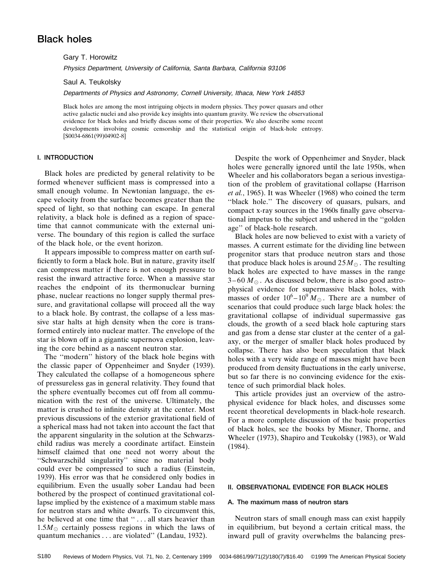# Black holes

Gary T. Horowitz

Physics Department, University of California, Santa Barbara, California 93106

Saul A. Teukolsky

Departments of Physics and Astronomy, Cornell University, Ithaca, New York 14853

Black holes are among the most intriguing objects in modern physics. They power quasars and other active galactic nuclei and also provide key insights into quantum gravity. We review the observational evidence for black holes and briefly discuss some of their properties. We also describe some recent developments involving cosmic censorship and the statistical origin of black-hole entropy. [S0034-6861(99)04902-8]

# I. INTRODUCTION

Black holes are predicted by general relativity to be formed whenever sufficient mass is compressed into a small enough volume. In Newtonian language, the escape velocity from the surface becomes greater than the speed of light, so that nothing can escape. In general relativity, a black hole is defined as a region of spacetime that cannot communicate with the external universe. The boundary of this region is called the surface of the black hole, or the event horizon.

It appears impossible to compress matter on earth sufficiently to form a black hole. But in nature, gravity itself can compress matter if there is not enough pressure to resist the inward attractive force. When a massive star reaches the endpoint of its thermonuclear burning phase, nuclear reactions no longer supply thermal pressure, and gravitational collapse will proceed all the way to a black hole. By contrast, the collapse of a less massive star halts at high density when the core is transformed entirely into nuclear matter. The envelope of the star is blown off in a gigantic supernova explosion, leaving the core behind as a nascent neutron star.

The ''modern'' history of the black hole begins with the classic paper of Oppenheimer and Snyder (1939). They calculated the collapse of a homogeneous sphere of pressureless gas in general relativity. They found that the sphere eventually becomes cut off from all communication with the rest of the universe. Ultimately, the matter is crushed to infinite density at the center. Most previous discussions of the exterior gravitational field of a spherical mass had not taken into account the fact that the apparent singularity in the solution at the Schwarzschild radius was merely a coordinate artifact. Einstein himself claimed that one need not worry about the "Schwarzschild singularity" since no material body could ever be compressed to such a radius (Einstein, 1939). His error was that he considered only bodies in equilibrium. Even the usually sober Landau had been bothered by the prospect of continued gravitational collapse implied by the existence of a maximum stable mass for neutron stars and white dwarfs. To circumvent this, he believed at one time that '' . . . all stars heavier than  $1.5M_{\odot}$  certainly possess regions in which the laws of quantum mechanics . . . are violated'' (Landau, 1932).

Despite the work of Oppenheimer and Snyder, black holes were generally ignored until the late 1950s, when Wheeler and his collaborators began a serious investigation of the problem of gravitational collapse (Harrison *et al.*, 1965). It was Wheeler (1968) who coined the term ''black hole.'' The discovery of quasars, pulsars, and compact x-ray sources in the 1960s finally gave observational impetus to the subject and ushered in the ''golden age'' of black-hole research.

Black holes are now believed to exist with a variety of masses. A current estimate for the dividing line between progenitor stars that produce neutron stars and those that produce black holes is around  $25M_{\odot}$ . The resulting black holes are expected to have masses in the range  $3-60 M_{\odot}$ . As discussed below, there is also good astrophysical evidence for supermassive black holes, with masses of order  $10^6 - 10^9 M_{\odot}$ . There are a number of scenarios that could produce such large black holes: the gravitational collapse of individual supermassive gas clouds, the growth of a seed black hole capturing stars and gas from a dense star cluster at the center of a galaxy, or the merger of smaller black holes produced by collapse. There has also been speculation that black holes with a very wide range of masses might have been produced from density fluctuations in the early universe, but so far there is no convincing evidence for the existence of such primordial black holes.

This article provides just an overview of the astrophysical evidence for black holes, and discusses some recent theoretical developments in black-hole research. For a more complete discussion of the basic properties of black holes, see the books by Misner, Thorne, and Wheeler (1973), Shapiro and Teukolsky (1983), or Wald (1984).

# II. OBSERVATIONAL EVIDENCE FOR BLACK HOLES

# A. The maximum mass of neutron stars

Neutron stars of small enough mass can exist happily in equilibrium, but beyond a certain critical mass, the inward pull of gravity overwhelms the balancing pres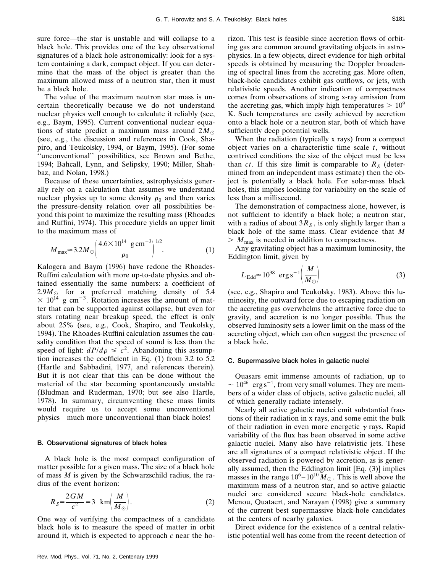sure force—the star is unstable and will collapse to a black hole. This provides one of the key observational signatures of a black hole astronomically: look for a system containing a dark, compact object. If you can determine that the mass of the object is greater than the maximum allowed mass of a neutron star, then it must be a black hole.

The value of the maximum neutron star mass is uncertain theoretically because we do not understand nuclear physics well enough to calculate it reliably (see, e.g., Baym, 1995). Current conventional nuclear equations of state predict a maximum mass around  $2M_{\odot}$ (see, e.g., the discussion and references in Cook, Shapiro, and Teukolsky, 1994, or Baym, 1995). (For some ''unconventional'' possibilities, see Brown and Bethe, 1994; Bahcall, Lynn, and Selipsky, 1990; Miller, Shahbaz, and Nolan, 1998.)

Because of these uncertainties, astrophysicists generally rely on a calculation that assumes we understand nuclear physics up to some density  $\rho_0$  and then varies the pressure-density relation over all possibilities beyond this point to maximize the resulting mass (Rhoades and Ruffini, 1974). This procedure yields an upper limit to the maximum mass of

$$
M_{\text{max}} \approx 3.2 M_{\odot} \left( \frac{4.6 \times 10^{14} \text{ g cm}^{-3}}{\rho_0} \right)^{1/2}.
$$
 (1)

Kalogera and Baym (1996) have redone the Rhoades-Ruffini calculation with more up-to-date physics and obtained essentially the same numbers: a coefficient of 2.9 $M_{\odot}$  for a preferred matching density of 5.4  $\times$  10<sup>14</sup> g cm<sup>-3</sup>. Rotation increases the amount of matter that can be supported against collapse, but even for stars rotating near breakup speed, the effect is only about 25% (see, e.g., Cook, Shapiro, and Teukolsky, 1994). The Rhoades-Ruffini calculation assumes the causality condition that the speed of sound is less than the speed of light:  $dP/d\rho \leq c^2$ . Abandoning this assumption increases the coefficient in Eq. (1) from 3.2 to 5.2 (Hartle and Sabbadini, 1977, and references therein). But it is not clear that this can be done without the material of the star becoming spontaneously unstable (Bludman and Ruderman, 1970; but see also Hartle, 1978). In summary, circumventing these mass limits would require us to accept some unconventional physics—much more unconventional than black holes!

#### B. Observational signatures of black holes

A black hole is the most compact configuration of matter possible for a given mass. The size of a black hole of mass *M* is given by the Schwarzschild radius, the radius of the event horizon:

$$
R_S = \frac{2GM}{c^2} = 3 \text{ km} \left( \frac{M}{M_\odot} \right). \tag{2}
$$

One way of verifying the compactness of a candidate black hole is to measure the speed of matter in orbit around it, which is expected to approach *c* near the horizon. This test is feasible since accretion flows of orbiting gas are common around gravitating objects in astrophysics. In a few objects, direct evidence for high orbital speeds is obtained by measuring the Doppler broadening of spectral lines from the accreting gas. More often, black-hole candidates exhibit gas outflows, or jets, with relativistic speeds. Another indication of compactness comes from observations of strong x-ray emission from the accreting gas, which imply high temperatures  $> 10<sup>9</sup>$ K. Such temperatures are easily achieved by accretion onto a black hole or a neutron star, both of which have sufficiently deep potential wells.

When the radiation (typically x rays) from a compact object varies on a characteristic time scale *t*, without contrived conditions the size of the object must be less than *ct*. If this size limit is comparable to  $R<sub>S</sub>$  (determined from an independent mass estimate) then the object is potentially a black hole. For solar-mass black holes, this implies looking for variability on the scale of less than a millisecond.

The demonstration of compactness alone, however, is not sufficient to identify a black hole; a neutron star, with a radius of about  $3R<sub>S</sub>$ , is only slightly larger than a black hole of the same mass. Clear evidence that *M*  $>$   $M_{\text{max}}$  is needed in addition to compactness.

Any gravitating object has a maximum luminosity, the Eddington limit, given by

$$
L_{\rm Edd} \approx 10^{38} \, \text{ erg s}^{-1} \left( \frac{M}{M_{\odot}} \right) \tag{3}
$$

(see, e.g., Shapiro and Teukolsky, 1983). Above this luminosity, the outward force due to escaping radiation on the accreting gas overwhelms the attractive force due to gravity, and accretion is no longer possible. Thus the observed luminosity sets a lower limit on the mass of the accreting object, which can often suggest the presence of a black hole.

#### C. Supermassive black holes in galactic nuclei

Quasars emit immense amounts of radiation, up to  $\sim 10^{46}$  erg s<sup>-1</sup>, from very small volumes. They are members of a wider class of objects, active galactic nuclei, all of which generally radiate intensely.

Nearly all active galactic nuclei emit substantial fractions of their radiation in x rays, and some emit the bulk of their radiation in even more energetic  $\gamma$  rays. Rapid variability of the flux has been observed in some active galactic nuclei. Many also have relativistic jets. These are all signatures of a compact relativistic object. If the observed radiation is powered by accretion, as is generally assumed, then the Eddington limit [Eq. (3)] implies masses in the range  $10^6 - 10^{10} M_{\odot}$ . This is well above the maximum mass of a neutron star, and so active galactic nuclei are considered secure black-hole candidates. Menou, Quataert, and Narayan (1998) give a summary of the current best supermassive black-hole candidates at the centers of nearby galaxies.

Direct evidence for the existence of a central relativistic potential well has come from the recent detection of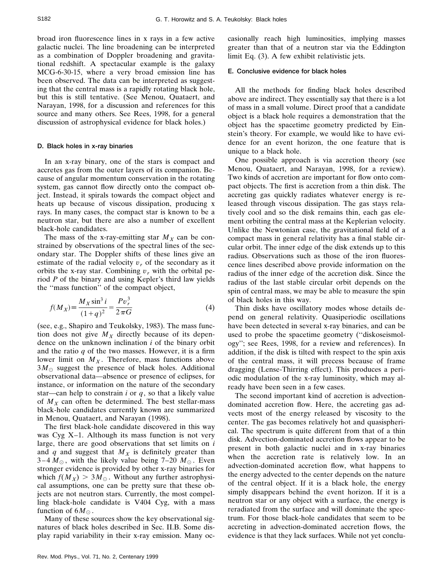broad iron fluorescence lines in x rays in a few active galactic nuclei. The line broadening can be interpreted as a combination of Doppler broadening and gravitational redshift. A spectacular example is the galaxy MCG-6-30-15, where a very broad emission line has been observed. The data can be interpreted as suggesting that the central mass is a rapidly rotating black hole, but this is still tentative. (See Menou, Quataert, and Narayan, 1998, for a discussion and references for this source and many others. See Rees, 1998, for a general discussion of astrophysical evidence for black holes.)

# D. Black holes in x-ray binaries

In an x-ray binary, one of the stars is compact and accretes gas from the outer layers of its companion. Because of angular momentum conservation in the rotating system, gas cannot flow directly onto the compact object. Instead, it spirals towards the compact object and heats up because of viscous dissipation, producing x rays. In many cases, the compact star is known to be a neutron star, but there are also a number of excellent black-hole candidates.

The mass of the x-ray-emitting star  $M_X$  can be constrained by observations of the spectral lines of the secondary star. The Doppler shifts of these lines give an estimate of the radial velocity  $v_r$  of the secondary as it orbits the x-ray star. Combining  $v_r$  with the orbital period *P* of the binary and using Kepler's third law yields the ''mass function'' of the compact object,

$$
f(M_X) = \frac{M_X \sin^3 i}{(1+q)^2} = \frac{Pv_r^3}{2\pi G}
$$
 (4)

(see, e.g., Shapiro and Teukolsky, 1983). The mass function does not give  $M_X$  directly because of its dependence on the unknown inclination *i* of the binary orbit and the ratio *q* of the two masses. However, it is a firm lower limit on  $M_X$ . Therefore, mass functions above  $3M_{\odot}$  suggest the presence of black holes. Additional observational data—absence or presence of eclipses, for instance, or information on the nature of the secondary star—can help to constrain  $i$  or  $q$ , so that a likely value of  $M_X$  can often be determined. The best stellar-mass black-hole candidates currently known are summarized in Menou, Quataert, and Narayan (1998).

The first black-hole candidate discovered in this way was Cyg  $X-1$ . Although its mass function is not very large, there are good observations that set limits on *i* and  $q$  and suggest that  $M_X$  is definitely greater than  $3-4 M_{\odot}$ , with the likely value being 7–20  $M_{\odot}$ . Even stronger evidence is provided by other x-ray binaries for which  $f(M_X) > 3M_{\odot}$ . Without any further astrophysical assumptions, one can be pretty sure that these objects are not neutron stars. Currently, the most compelling black-hole candidate is V404 Cyg, with a mass function of  $6M_{\odot}$ .

Many of these sources show the key observational signatures of black holes described in Sec. II.B. Some display rapid variability in their x-ray emission. Many occasionally reach high luminosities, implying masses greater than that of a neutron star via the Eddington limit Eq. (3). A few exhibit relativistic jets.

# E. Conclusive evidence for black holes

All the methods for finding black holes described above are indirect. They essentially say that there is a lot of mass in a small volume. Direct proof that a candidate object is a black hole requires a demonstration that the object has the spacetime geometry predicted by Einstein's theory. For example, we would like to have evidence for an event horizon, the one feature that is unique to a black hole.

One possible approach is via accretion theory (see Menou, Quataert, and Narayan, 1998, for a review). Two kinds of accretion are important for flow onto compact objects. The first is accretion from a thin disk. The accreting gas quickly radiates whatever energy is released through viscous dissipation. The gas stays relatively cool and so the disk remains thin, each gas element orbiting the central mass at the Keplerian velocity. Unlike the Newtonian case, the gravitational field of a compact mass in general relativity has a final stable circular orbit. The inner edge of the disk extends up to this radius. Observations such as those of the iron fluorescence lines described above provide information on the radius of the inner edge of the accretion disk. Since the radius of the last stable circular orbit depends on the spin of central mass, we may be able to measure the spin of black holes in this way.

Thin disks have oscillatory modes whose details depend on general relativity. Quasiperiodic oscillations have been detected in several x-ray binaries, and can be used to probe the spacetime geometry (''diskoseismology''; see Rees, 1998, for a review and references). In addition, if the disk is tilted with respect to the spin axis of the central mass, it will precess because of frame dragging (Lense-Thirring effect). This produces a periodic modulation of the x-ray luminosity, which may already have been seen in a few cases.

The second important kind of accretion is advectiondominated accretion flow. Here, the accreting gas advects most of the energy released by viscosity to the center. The gas becomes relatively hot and quasispherical. The spectrum is quite different from that of a thin disk. Advection-dominated accretion flows appear to be present in both galactic nuclei and in x-ray binaries when the accretion rate is relatively low. In an advection-dominated accretion flow, what happens to the energy advected to the center depends on the nature of the central object. If it is a black hole, the energy simply disappears behind the event horizon. If it is a neutron star or any object with a surface, the energy is reradiated from the surface and will dominate the spectrum. For those black-hole candidates that seem to be accreting in advection-dominated accretion flows, the evidence is that they lack surfaces. While not yet conclu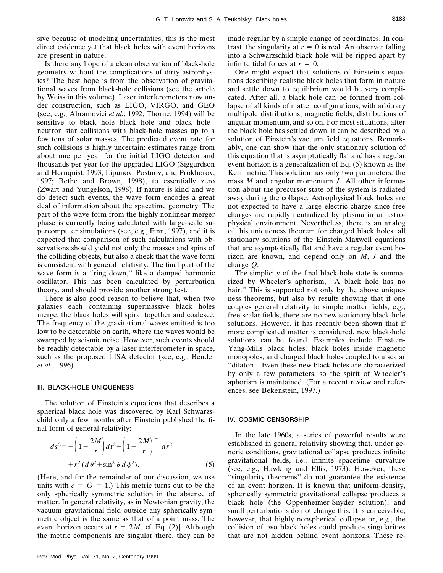sive because of modeling uncertainties, this is the most direct evidence yet that black holes with event horizons are present in nature.

Is there any hope of a clean observation of black-hole geometry without the complications of dirty astrophysics? The best hope is from the observation of gravitational waves from black-hole collisions (see the article by Weiss in this volume). Laser interferometers now under construction, such as LIGO, VIRGO, and GEO (see, e.g., Abramovici *et al.*, 1992; Thorne, 1994) will be sensitive to black hole–black hole and black hole– neutron star collisions with black-hole masses up to a few tens of solar masses. The predicted event rate for such collisions is highly uncertain: estimates range from about one per year for the initial LIGO detector and thousands per year for the upgraded LIGO (Siggurdson and Hernquist, 1993; Lipunov, Postnov, and Prokhorov, 1997; Bethe and Brown, 1998), to essentially zero (Zwart and Yungelson, 1998). If nature is kind and we do detect such events, the wave form encodes a great deal of information about the spacetime geometry. The part of the wave form from the highly nonlinear merger phase is currently being calculated with large-scale supercomputer simulations (see, e.g., Finn, 1997), and it is expected that comparison of such calculations with observations should yield not only the masses and spins of the colliding objects, but also a check that the wave form is consistent with general relativity. The final part of the wave form is a "ring down," like a damped harmonic oscillator. This has been calculated by perturbation theory, and should provide another strong test.

There is also good reason to believe that, when two galaxies each containing supermassive black holes merge, the black holes will spiral together and coalesce. The frequency of the gravitational waves emitted is too low to be detectable on earth, where the waves would be swamped by seismic noise. However, such events should be readily detectable by a laser interferometer in space, such as the proposed LISA detector (see, e.g., Bender *et al.*, 1996)

#### III. BLACK-HOLE UNIQUENESS

The solution of Einstein's equations that describes a spherical black hole was discovered by Karl Schwarzschild only a few months after Einstein published the final form of general relativity:

$$
ds^{2} = -\left(1 - \frac{2M}{r}\right)dt^{2} + \left(1 - \frac{2M}{r}\right)^{-1}dr^{2} + r^{2}\left(d\theta^{2} + \sin^{2}\theta\,d\phi^{2}\right).
$$
 (5)

(Here, and for the remainder of our discussion, we use units with  $c = G = 1$ .) This metric turns out to be the only spherically symmetric solution in the absence of matter. In general relativity, as in Newtonian gravity, the vacuum gravitational field outside any spherically symmetric object is the same as that of a point mass. The event horizon occurs at  $r = 2M$  [cf. Eq. (2)]. Although the metric components are singular there, they can be made regular by a simple change of coordinates. In contrast, the singularity at  $r = 0$  is real. An observer falling into a Schwarzschild black hole will be ripped apart by infinite tidal forces at  $r = 0$ .

One might expect that solutions of Einstein's equations describing realistic black holes that form in nature and settle down to equilibrium would be very complicated. After all, a black hole can be formed from collapse of all kinds of matter configurations, with arbitrary multipole distributions, magnetic fields, distributions of angular momentum, and so on. For most situations, after the black hole has settled down, it can be described by a solution of Einstein's vacuum field equations. Remarkably, one can show that the only stationary solution of this equation that is asymptotically flat and has a regular event horizon is a generalization of Eq. (5) known as the Kerr metric. This solution has only two parameters: the mass *M* and angular momentum *J*. All other information about the precursor state of the system is radiated away during the collapse. Astrophysical black holes are not expected to have a large electric charge since free charges are rapidly neutralized by plasma in an astrophysical environment. Nevertheless, there is an analog of this uniqueness theorem for charged black holes: all stationary solutions of the Einstein-Maxwell equations that are asymptotically flat and have a regular event horizon are known, and depend only on *M*, *J* and the charge *Q*.

The simplicity of the final black-hole state is summarized by Wheeler's aphorism, ''A black hole has no hair." This is supported not only by the above uniqueness theorems, but also by results showing that if one couples general relativity to simple matter fields, e.g., free scalar fields, there are no new stationary black-hole solutions. However, it has recently been shown that if more complicated matter is considered, new black-hole solutions can be found. Examples include Einstein-Yang-Mills black holes, black holes inside magnetic monopoles, and charged black holes coupled to a scalar ''dilaton.'' Even these new black holes are characterized by only a few parameters, so the spirit of Wheeler's aphorism is maintained. (For a recent review and references, see Bekenstein, 1997.)

## IV. COSMIC CENSORSHIP

In the late 1960s, a series of powerful results were established in general relativity showing that, under generic conditions, gravitational collapse produces infinite gravitational fields, i.e., infinite spacetime curvature (see, e.g., Hawking and Ellis, 1973). However, these ''singularity theorems'' do not guarantee the existence of an event horizon. It is known that uniform-density, spherically symmetric gravitational collapse produces a black hole (the Oppenheimer-Snyder solution), and small perturbations do not change this. It is conceivable, however, that highly nonspherical collapse or, e.g., the collision of two black holes could produce singularities that are not hidden behind event horizons. These re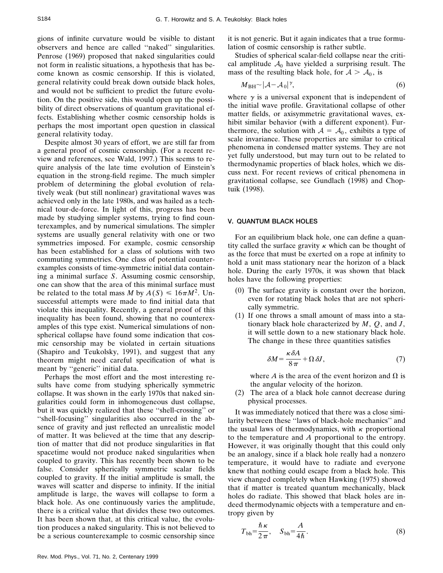gions of infinite curvature would be visible to distant observers and hence are called ''naked'' singularities. Penrose (1969) proposed that naked singularities could not form in realistic situations, a hypothesis that has become known as cosmic censorship. If this is violated, general relativity could break down outside black holes, and would not be sufficient to predict the future evolution. On the positive side, this would open up the possibility of direct observations of quantum gravitational effects. Establishing whether cosmic censorship holds is perhaps the most important open question in classical general relativity today.

Despite almost 30 years of effort, we are still far from a general proof of cosmic censorship. (For a recent review and references, see Wald, 1997.) This seems to require analysis of the late time evolution of Einstein's equation in the strong-field regime. The much simpler problem of determining the global evolution of relatively weak (but still nonlinear) gravitational waves was achieved only in the late 1980s, and was hailed as a technical tour-de-force. In light of this, progress has been made by studying simpler systems, trying to find counterexamples, and by numerical simulations. The simpler systems are usually general relativity with one or two symmetries imposed. For example, cosmic censorship has been established for a class of solutions with two commuting symmetries. One class of potential counterexamples consists of time-symmetric initial data containing a minimal surface *S*. Assuming cosmic censorship, one can show that the area of this minimal surface must be related to the total mass *M* by  $A(S) \le 16\pi M^2$ . Unsuccessful attempts were made to find initial data that violate this inequality. Recently, a general proof of this inequality has been found, showing that no counterexamples of this type exist. Numerical simulations of nonspherical collapse have found some indication that cosmic censorship may be violated in certain situations (Shapiro and Teukolsky, 1991), and suggest that any theorem might need careful specification of what is meant by "generic" initial data.

Perhaps the most effort and the most interesting results have come from studying spherically symmetric collapse. It was shown in the early 1970s that naked singularities could form in inhomogeneous dust collapse, but it was quickly realized that these ''shell-crossing'' or "shell-focusing" singularities also occurred in the absence of gravity and just reflected an unrealistic model of matter. It was believed at the time that any description of matter that did not produce singularities in flat spacetime would not produce naked singularities when coupled to gravity. This has recently been shown to be false. Consider spherically symmetric scalar fields coupled to gravity. If the initial amplitude is small, the waves will scatter and disperse to infinity. If the initial amplitude is large, the waves will collapse to form a black hole. As one continuously varies the amplitude, there is a critical value that divides these two outcomes. It has been shown that, at this critical value, the evolution produces a naked singularity. This is not believed to be a serious counterexample to cosmic censorship since

it is not generic. But it again indicates that a true formulation of cosmic censorship is rather subtle.

Studies of spherical scalar-field collapse near the critical amplitude  $A_0$  have yielded a surprising result. The mass of the resulting black hole, for  $A > A_0$ , is

$$
M_{\rm BH} \sim |\mathcal{A} - \mathcal{A}_0|^\gamma,\tag{6}
$$

where  $\gamma$  is a universal exponent that is independent of the initial wave profile. Gravitational collapse of other matter fields, or axisymmetric gravitational waves, exhibit similar behavior (with a different exponent). Furthermore, the solution with  $A = A_0$ , exhibits a type of scale invariance. These properties are similar to critical phenomena in condensed matter systems. They are not yet fully understood, but may turn out to be related to thermodynamic properties of black holes, which we discuss next. For recent reviews of critical phenomena in gravitational collapse, see Gundlach (1998) and Choptuik (1998).

## V. QUANTUM BLACK HOLES

For an equilibrium black hole, one can define a quantity called the surface gravity  $\kappa$  which can be thought of as the force that must be exerted on a rope at infinity to hold a unit mass stationary near the horizon of a black hole. During the early 1970s, it was shown that black holes have the following properties:

- (0) The surface gravity is constant over the horizon, even for rotating black holes that are not spherically symmetric.
- (1) If one throws a small amount of mass into a stationary black hole characterized by *M*, *Q*, and *J*, it will settle down to a new stationary black hole. The change in these three quantities satisfies

$$
\delta M = \frac{\kappa \,\delta A}{8\,\pi} + \Omega \,\delta J,\tag{7}
$$

where *A* is the area of the event horizon and  $\Omega$  is the angular velocity of the horizon.

(2) The area of a black hole cannot decrease during physical processes.

It was immediately noticed that there was a close similarity between these ''laws of black-hole mechanics'' and the usual laws of thermodynamics, with  $\kappa$  proportional to the temperature and *A* proportional to the entropy. However, it was originally thought that this could only be an analogy, since if a black hole really had a nonzero temperature, it would have to radiate and everyone knew that nothing could escape from a black hole. This view changed completely when Hawking (1975) showed that if matter is treated quantum mechanically, black holes do radiate. This showed that black holes are indeed thermodynamic objects with a temperature and entropy given by

$$
T_{\text{bh}} = \frac{\hbar \kappa}{2\pi}, \quad S_{\text{bh}} = \frac{A}{4\hbar}.
$$
 (8)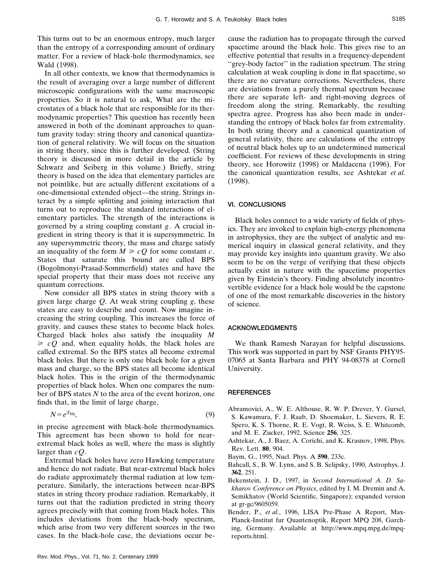Wald (1998). In all other contexts, we know that thermodynamics is the result of averaging over a large number of different microscopic configurations with the same macroscopic properties. So it is natural to ask, What are the microstates of a black hole that are responsible for its thermodynamic properties? This question has recently been answered in both of the dominant approaches to quantum gravity today: string theory and canonical quantization of general relativity. We will focus on the situation in string theory, since this is further developed. (String theory is discussed in more detail in the article by Schwarz and Seiberg in this volume.) Briefly, string theory is based on the idea that elementary particles are not pointlike, but are actually different excitations of a one-dimensional extended object—the string. Strings interact by a simple splitting and joining interaction that turns out to reproduce the standard interactions of elementary particles. The strength of the interactions is governed by a string coupling constant *g*. A crucial ingredient in string theory is that it is supersymmetric. In any supersymmetric theory, the mass and charge satisfy an inequality of the form  $M \geq cQ$  for some constant *c*. States that saturate this bound are called BPS (Bogolmonyi-Prasad-Sommerfield) states and have the special property that their mass does not receive any quantum corrections.

matter. For a review of black-hole thermodynamics, see

Now consider all BPS states in string theory with a given large charge *Q*. At weak string coupling *g*, these states are easy to describe and count. Now imagine increasing the string coupling. This increases the force of gravity, and causes these states to become black holes. Charged black holes also satisfy the inequality *M*  $\geq cQ$  and, when equality holds, the black holes are called extremal. So the BPS states all become extremal black holes. But there is only one black hole for a given mass and charge, so the BPS states all become identical black holes. This is the origin of the thermodynamic properties of black holes. When one compares the number of BPS states *N* to the area of the event horizon, one finds that, in the limit of large charge,

$$
N = e^{S_{bh}},\tag{9}
$$

in precise agreement with black-hole thermodynamics. This agreement has been shown to hold for nearextremal black holes as well, where the mass is slightly larger than *cQ*.

Extremal black holes have zero Hawking temperature and hence do not radiate. But near-extremal black holes do radiate approximately thermal radiation at low temperature. Similarly, the interactions between near-BPS states in string theory produce radiation. Remarkably, it turns out that the radiation predicted in string theory agrees precisely with that coming from black holes. This includes deviations from the black-body spectrum, which arise from two very different sources in the two cases. In the black-hole case, the deviations occur because the radiation has to propagate through the curved spacetime around the black hole. This gives rise to an effective potential that results in a frequency-dependent ''grey-body factor'' in the radiation spectrum. The string calculation at weak coupling is done in flat spacetime, so there are no curvature corrections. Nevertheless, there are deviations from a purely thermal spectrum because there are separate left- and right-moving degrees of freedom along the string. Remarkably, the resulting spectra agree. Progress has also been made in understanding the entropy of black holes far from extremality. In both string theory and a canonical quantization of general relativity, there are calculations of the entropy of neutral black holes up to an undetermined numerical coefficient. For reviews of these developments in string theory, see Horowitz (1998) or Maldacena (1996). For the canonical quantization results, see Ashtekar *et al.* (1998).

## VI. CONCLUSIONS

Black holes connect to a wide variety of fields of physics. They are invoked to explain high-energy phenomena in astrophysics, they are the subject of analytic and numerical inquiry in classical general relativity, and they may provide key insights into quantum gravity. We also seem to be on the verge of verifying that these objects actually exist in nature with the spacetime properties given by Einstein's theory. Finding absolutely incontrovertible evidence for a black hole would be the capstone of one of the most remarkable discoveries in the history of science.

## ACKNOWLEDGMENTS

We thank Ramesh Narayan for helpful discussions. This work was supported in part by NSF Grants PHY95- 07065 at Santa Barbara and PHY 94-08378 at Cornell University.

## **REFERENCES**

- Abramovici, A., W. E. Althouse, R. W. P. Drever, Y. Gursel, S. Kawamura, F. J. Raab, D. Shoemaker, L. Sievers, R. E. Spero, K. S. Thorne, R. E. Vogt, R. Weiss, S. E. Whitcomb, and M. E. Zucker, 1992, Science **256**, 325.
- Ashtekar, A., J. Baez, A. Corichi, and K. Krasnov, 1998, Phys. Rev. Lett. **80**, 904.
- Baym, G., 1995, Nucl. Phys. A **590**, 233c.
- Bahcall, S., B. W. Lynn, and S. B. Selipsky, 1990, Astrophys. J. **362**, 251.
- Bekenstein, J. D., 1997, in *Second International A. D. Sakharov Conference on Physics*, edited by I. M. Dremin and A. Semikhatov (World Scientific, Singapore); expanded version at gr-gc/9605059.
- Bender, P., *et al.*, 1996, LISA Pre-Phase A Report, Max-Planck-Institut fur Quantenoptik, Report MPQ 208, Garching, Germany. Available at http://www.mpq.mpg.de/mpqreports.html.